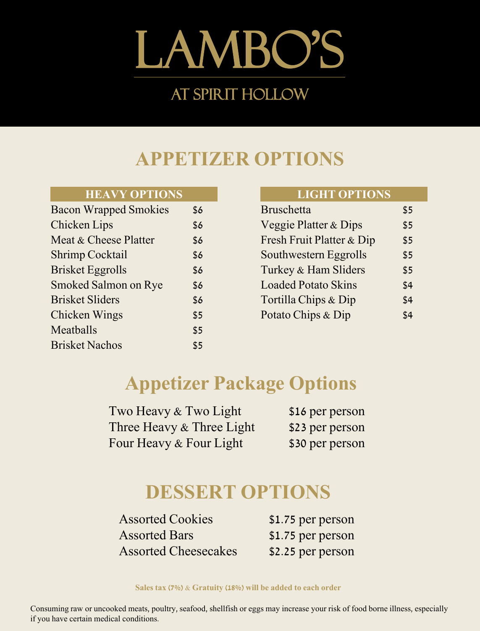# Lambo's At spirit hollow

# **APPETIZER OPTIONS**

#### **HEAVY OPTIONS**

| <b>Bacon Wrapped Smokies</b> | \$6 |
|------------------------------|-----|
| <b>Chicken Lips</b>          | \$6 |
| Meat & Cheese Platter        | \$6 |
| <b>Shrimp Cocktail</b>       | \$6 |
| <b>Brisket Eggrolls</b>      | \$6 |
| <b>Smoked Salmon on Rye</b>  | \$6 |
| <b>Brisket Sliders</b>       | \$6 |
| <b>Chicken Wings</b>         | \$5 |
| Meatballs                    | \$5 |
| <b>Brisket Nachos</b>        | \$5 |

#### **LIGHT OPTIONS**

| <b>Bruschetta</b>                | \$5 |
|----------------------------------|-----|
| <b>Veggie Platter &amp; Dips</b> | \$5 |
| Fresh Fruit Platter & Dip        | \$5 |
| Southwestern Eggrolls            | \$5 |
| Turkey & Ham Sliders             | \$5 |
| <b>Loaded Potato Skins</b>       | \$4 |
| Tortilla Chips & Dip             | \$4 |
| Potato Chips & Dip               | \$4 |

# **Appetizer Package Options**

| Two Heavy & Two Light     | \$16 per person |
|---------------------------|-----------------|
| Three Heavy & Three Light | \$23 per person |
| Four Heavy & Four Light   | \$30 per person |

# **DESSERT OPTIONS**

Assorted Cookies \$1.75 per person Assorted Bars \$1.75 per person Assorted Cheesecakes \$2.25 per person

**Sales tax (7%) & Gratuity (18%) will be added to each order**

Consuming raw or uncooked meats, poultry, seafood, shellfish or eggs may increase your risk of food borne illness, especially if you have certain medical conditions.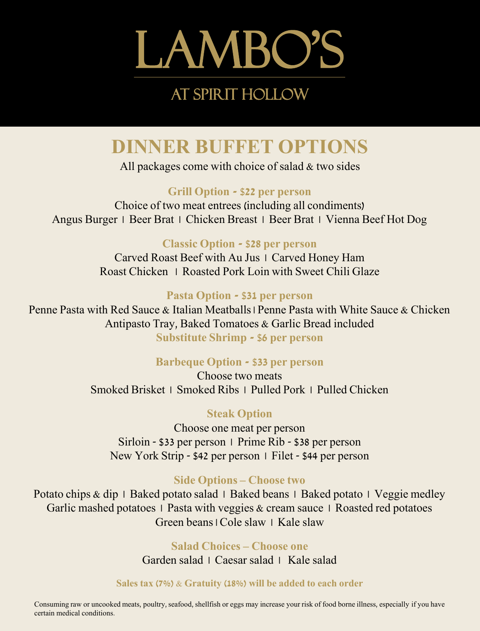

# **DINNER BUFFET OPTIONS**

All packages come with choice of salad & two sides

## **Grill Option - \$22 per person**

Choice of two meat entrees (including all condiments) Angus Burger | Beer Brat | Chicken Breast | Beer Brat | Vienna Beef Hot Dog

## **Classic Option - \$28 per person**

Carved Roast Beef with Au Jus | Carved Honey Ham Roast Chicken | Roasted Pork Loin with Sweet Chili Glaze

### **Pasta Option - \$31 per person**

Penne Pasta with Red Sauce & Italian Meatballs | Penne Pasta with White Sauce & Chicken Antipasto Tray, Baked Tomatoes & Garlic Bread included **Substitute Shrimp - \$6 per person**

## **Barbeque Option - \$33 per person**

Choose two meats Smoked Brisket | Smoked Ribs | Pulled Pork | Pulled Chicken

## **Steak Option**

Choose one meat per person Sirloin - \$33 per person | Prime Rib - \$38 per person New York Strip - \$42 per person | Filet - \$44 per person

## **Side Options – Choose two**

Potato chips & dip | Baked potato salad | Baked beans | Baked potato | Veggie medley Garlic mashed potatoes  $\perp$  Pasta with veggies & cream sauce  $\perp$  Roasted red potatoes Green beans | Cole slaw | Kale slaw

#### **Salad Choices – Choose one**

Garden salad | Caesar salad | Kale salad

#### **Sales tax (7%) & Gratuity (18%) will be added to each order**

Consuming raw or uncooked meats, poultry, seafood, shellfish or eggs may increase your risk of food borne illness, especially if you have certain medical conditions.